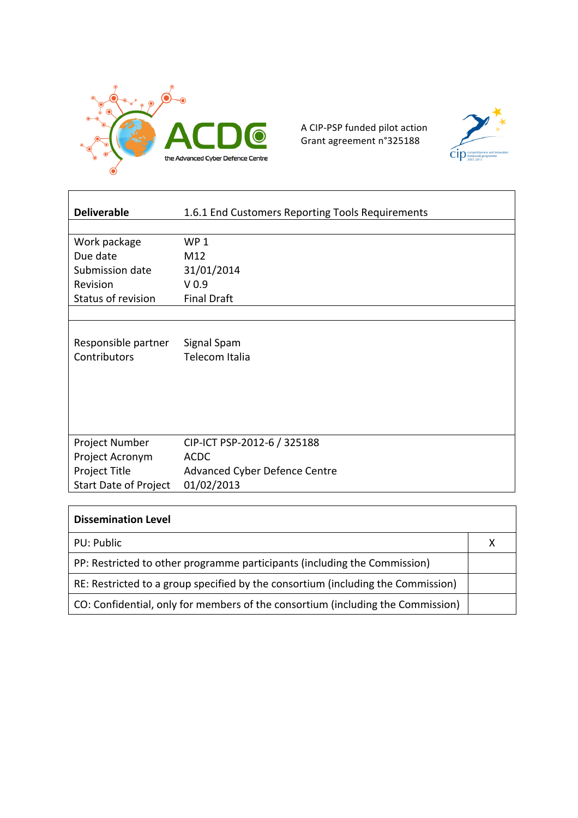

A CIP-PSP funded pilot action Grant agreement n°325188



| <b>Deliverable</b>           | 1.6.1 End Customers Reporting Tools Requirements |
|------------------------------|--------------------------------------------------|
|                              |                                                  |
| Work package                 | WP <sub>1</sub>                                  |
| Due date                     | M12                                              |
| Submission date              | 31/01/2014                                       |
| Revision                     | V <sub>0.9</sub>                                 |
| Status of revision           | <b>Final Draft</b>                               |
|                              |                                                  |
|                              |                                                  |
| Responsible partner          | Signal Spam                                      |
| Contributors                 | Telecom Italia                                   |
|                              |                                                  |
|                              |                                                  |
|                              |                                                  |
|                              |                                                  |
|                              |                                                  |
| Project Number               | CIP-ICT PSP-2012-6 / 325188                      |
| Project Acronym              | <b>ACDC</b>                                      |
| Project Title                | Advanced Cyber Defence Centre                    |
| <b>Start Date of Project</b> | 01/02/2013                                       |

| <b>Dissemination Level</b>                                                       |  |
|----------------------------------------------------------------------------------|--|
| PU: Public                                                                       |  |
| PP: Restricted to other programme participants (including the Commission)        |  |
| RE: Restricted to a group specified by the consortium (including the Commission) |  |
| CO: Confidential, only for members of the consortium (including the Commission)  |  |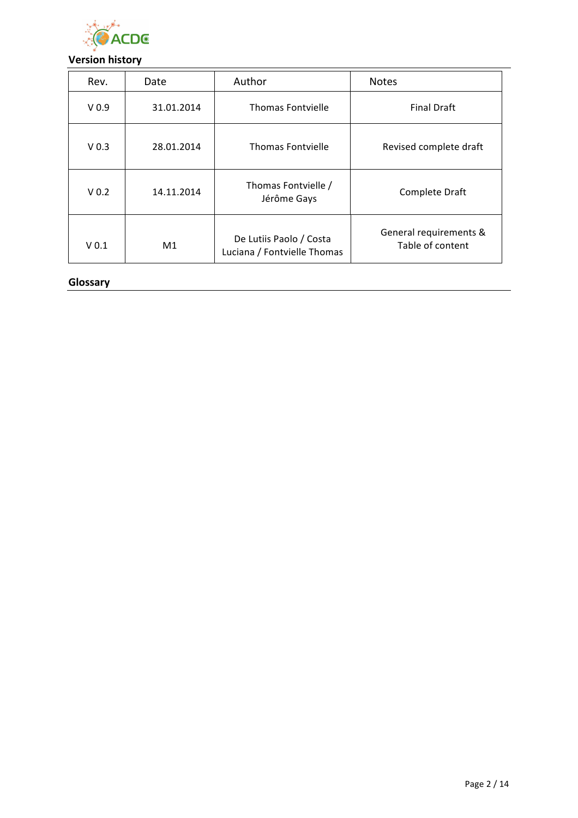

## **Version history**

| Rev.             | Date       | Author                                                 | <b>Notes</b>                               |
|------------------|------------|--------------------------------------------------------|--------------------------------------------|
| V <sub>0.9</sub> | 31.01.2014 | Thomas Fontvielle                                      | <b>Final Draft</b>                         |
| V <sub>0.3</sub> | 28.01.2014 | Thomas Fontvielle                                      | Revised complete draft                     |
| V <sub>0.2</sub> | 14.11.2014 | Thomas Fontvielle /<br>Jérôme Gays                     | Complete Draft                             |
| V <sub>0.1</sub> | M1         | De Lutiis Paolo / Costa<br>Luciana / Fontvielle Thomas | General requirements &<br>Table of content |

#### **Glossary**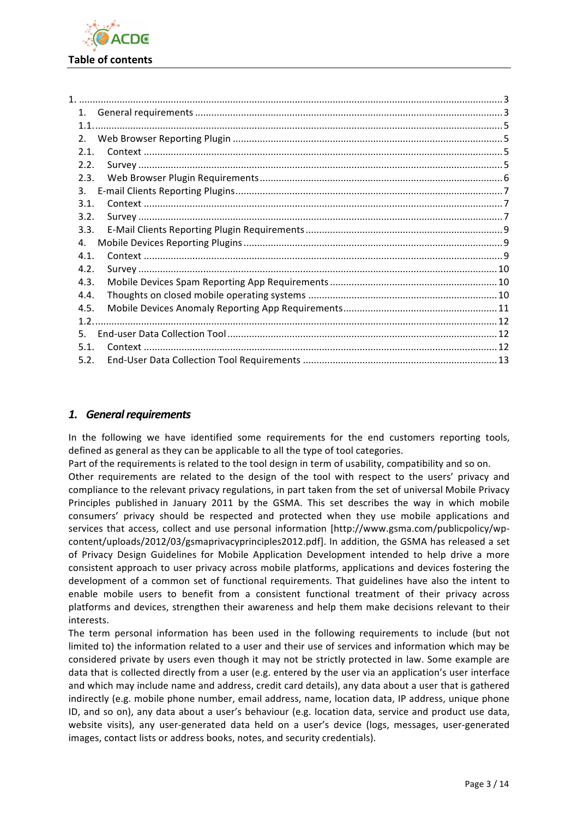

| 1.   |  |
|------|--|
|      |  |
| 2.   |  |
| 2.1. |  |
| 2.2. |  |
| 2.3. |  |
| 3.   |  |
| 3.1. |  |
| 3.2. |  |
| 3.3. |  |
| 4.   |  |
| 4.1. |  |
| 4.2. |  |
| 4.3. |  |
| 4.4. |  |
| 4.5. |  |
|      |  |
| .5.  |  |
| 5.1. |  |
| 5.2. |  |
|      |  |

### 1. General requirements

In the following we have identified some requirements for the end customers reporting tools, defined as general as they can be applicable to all the type of tool categories.

Part of the requirements is related to the tool design in term of usability, compatibility and so on.

Other requirements are related to the design of the tool with respect to the users' privacy and compliance to the relevant privacy regulations, in part taken from the set of universal Mobile Privacy Principles published in January 2011 by the GSMA. This set describes the way in which mobile consumers' privacy should be respected and protected when they use mobile applications and services that access, collect and use personal information [http://www.gsma.com/publicpolicy/wpcontent/uploads/2012/03/gsmaprivacyprinciples2012.pdf. In addition, the GSMA has released a set of Privacy Design Guidelines for Mobile Application Development intended to help drive a more consistent approach to user privacy across mobile platforms, applications and devices fostering the development of a common set of functional requirements. That guidelines have also the intent to enable mobile users to benefit from a consistent functional treatment of their privacy across platforms and devices, strengthen their awareness and help them make decisions relevant to their interests.

The term personal information has been used in the following requirements to include (but not limited to) the information related to a user and their use of services and information which may be considered private by users even though it may not be strictly protected in law. Some example are data that is collected directly from a user (e.g. entered by the user via an application's user interface and which may include name and address, credit card details), any data about a user that is gathered indirectly (e.g. mobile phone number, email address, name, location data, IP address, unique phone ID, and so on), any data about a user's behaviour (e.g. location data, service and product use data, website visits), any user-generated data held on a user's device (logs, messages, user-generated images, contact lists or address books, notes, and security credentials).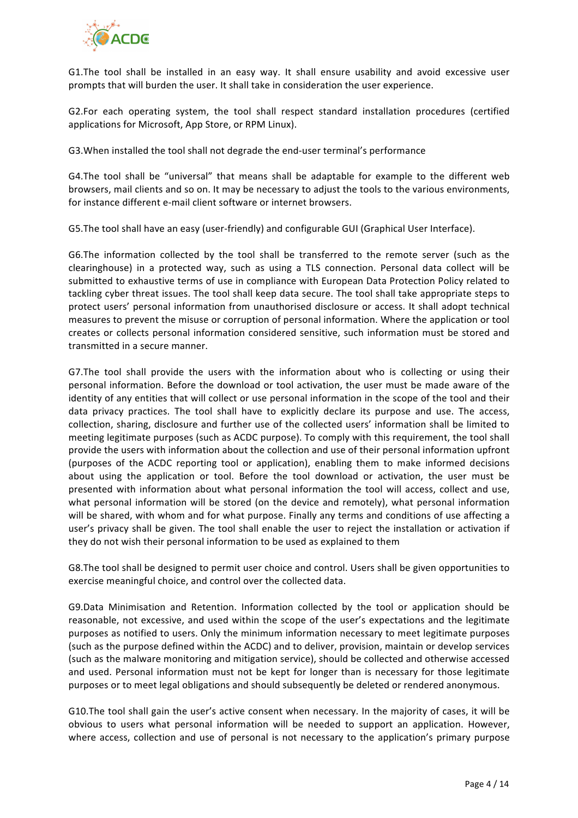

G1. The tool shall be installed in an easy way. It shall ensure usability and avoid excessive user prompts that will burden the user. It shall take in consideration the user experience.

G2.For each operating system, the tool shall respect standard installation procedures (certified applications for Microsoft, App Store, or RPM Linux).

G3. When installed the tool shall not degrade the end-user terminal's performance

G4.The tool shall be "universal" that means shall be adaptable for example to the different web browsers, mail clients and so on. It may be necessary to adjust the tools to the various environments, for instance different e-mail client software or internet browsers.

G5. The tool shall have an easy (user-friendly) and configurable GUI (Graphical User Interface).

G6. The information collected by the tool shall be transferred to the remote server (such as the clearinghouse) in a protected way, such as using a TLS connection. Personal data collect will be submitted to exhaustive terms of use in compliance with European Data Protection Policy related to tackling cyber threat issues. The tool shall keep data secure. The tool shall take appropriate steps to protect users' personal information from unauthorised disclosure or access. It shall adopt technical measures to prevent the misuse or corruption of personal information. Where the application or tool creates or collects personal information considered sensitive, such information must be stored and transmitted in a secure manner.

G7. The tool shall provide the users with the information about who is collecting or using their personal information. Before the download or tool activation, the user must be made aware of the identity of any entities that will collect or use personal information in the scope of the tool and their data privacy practices. The tool shall have to explicitly declare its purpose and use. The access, collection, sharing, disclosure and further use of the collected users' information shall be limited to meeting legitimate purposes (such as ACDC purpose). To comply with this requirement, the tool shall provide the users with information about the collection and use of their personal information upfront (purposes of the ACDC reporting tool or application), enabling them to make informed decisions about using the application or tool. Before the tool download or activation, the user must be presented with information about what personal information the tool will access, collect and use, what personal information will be stored (on the device and remotely), what personal information will be shared, with whom and for what purpose. Finally any terms and conditions of use affecting a user's privacy shall be given. The tool shall enable the user to reject the installation or activation if they do not wish their personal information to be used as explained to them

G8. The tool shall be designed to permit user choice and control. Users shall be given opportunities to exercise meaningful choice, and control over the collected data.

G9.Data Minimisation and Retention. Information collected by the tool or application should be reasonable, not excessive, and used within the scope of the user's expectations and the legitimate purposes as notified to users. Only the minimum information necessary to meet legitimate purposes (such as the purpose defined within the ACDC) and to deliver, provision, maintain or develop services (such as the malware monitoring and mitigation service), should be collected and otherwise accessed and used. Personal information must not be kept for longer than is necessary for those legitimate purposes or to meet legal obligations and should subsequently be deleted or rendered anonymous.

G10. The tool shall gain the user's active consent when necessary. In the majority of cases, it will be obvious to users what personal information will be needed to support an application. However, where access, collection and use of personal is not necessary to the application's primary purpose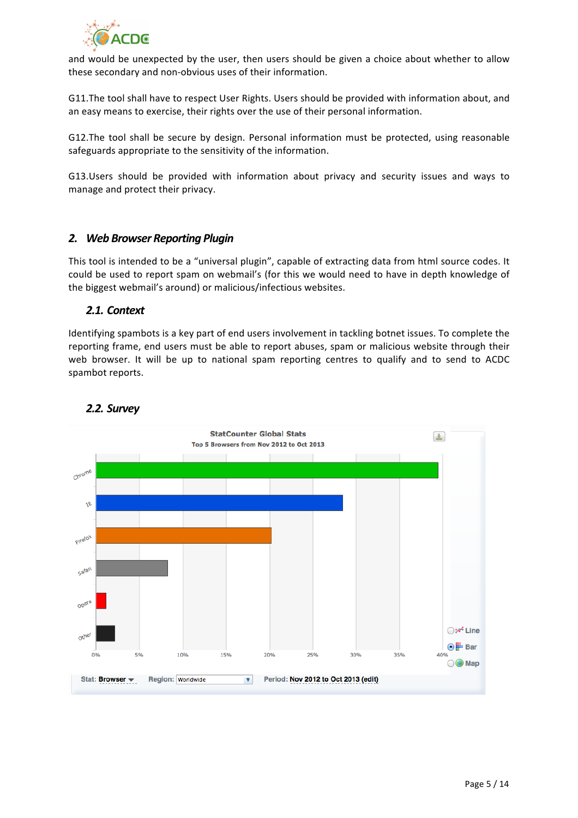

and would be unexpected by the user, then users should be given a choice about whether to allow these secondary and non-obvious uses of their information.

G11. The tool shall have to respect User Rights. Users should be provided with information about, and an easy means to exercise, their rights over the use of their personal information.

G12.The tool shall be secure by design. Personal information must be protected, using reasonable safeguards appropriate to the sensitivity of the information.

G13.Users should be provided with information about privacy and security issues and ways to manage and protect their privacy.

#### *2. Web Browser Reporting Plugin*

This tool is intended to be a "universal plugin", capable of extracting data from html source codes. It could be used to report spam on webmail's (for this we would need to have in depth knowledge of the biggest webmail's around) or malicious/infectious websites.

#### *2.1. Context*

Identifying spambots is a key part of end users involvement in tackling botnet issues. To complete the reporting frame, end users must be able to report abuses, spam or malicious website through their web browser. It will be up to national spam reporting centres to qualify and to send to ACDC spambot reports.



### *2.2. Survey*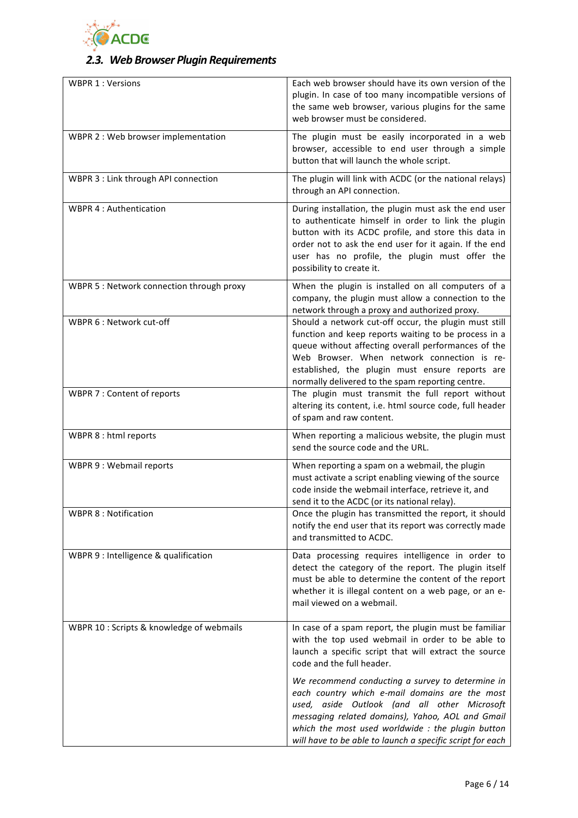

# *2.3. Web Browser Plugin Requirements*

| <b>WBPR 1: Versions</b>                   | Each web browser should have its own version of the<br>plugin. In case of too many incompatible versions of<br>the same web browser, various plugins for the same<br>web browser must be considered.                                                                                                                       |
|-------------------------------------------|----------------------------------------------------------------------------------------------------------------------------------------------------------------------------------------------------------------------------------------------------------------------------------------------------------------------------|
| WBPR 2 : Web browser implementation       | The plugin must be easily incorporated in a web<br>browser, accessible to end user through a simple<br>button that will launch the whole script.                                                                                                                                                                           |
| WBPR 3 : Link through API connection      | The plugin will link with ACDC (or the national relays)<br>through an API connection.                                                                                                                                                                                                                                      |
| <b>WBPR 4: Authentication</b>             | During installation, the plugin must ask the end user<br>to authenticate himself in order to link the plugin<br>button with its ACDC profile, and store this data in<br>order not to ask the end user for it again. If the end<br>user has no profile, the plugin must offer the<br>possibility to create it.              |
| WBPR 5 : Network connection through proxy | When the plugin is installed on all computers of a<br>company, the plugin must allow a connection to the<br>network through a proxy and authorized proxy.                                                                                                                                                                  |
| WBPR 6 : Network cut-off                  | Should a network cut-off occur, the plugin must still<br>function and keep reports waiting to be process in a<br>queue without affecting overall performances of the<br>Web Browser. When network connection is re-<br>established, the plugin must ensure reports are<br>normally delivered to the spam reporting centre. |
| WBPR 7 : Content of reports               | The plugin must transmit the full report without<br>altering its content, i.e. html source code, full header<br>of spam and raw content.                                                                                                                                                                                   |
| WBPR 8 : html reports                     | When reporting a malicious website, the plugin must<br>send the source code and the URL.                                                                                                                                                                                                                                   |
| WBPR 9 : Webmail reports                  | When reporting a spam on a webmail, the plugin<br>must activate a script enabling viewing of the source<br>code inside the webmail interface, retrieve it, and<br>send it to the ACDC (or its national relay).                                                                                                             |
| <b>WBPR 8: Notification</b>               | Once the plugin has transmitted the report, it should<br>notify the end user that its report was correctly made<br>and transmitted to ACDC.                                                                                                                                                                                |
| WBPR 9 : Intelligence & qualification     | Data processing requires intelligence in order to<br>detect the category of the report. The plugin itself<br>must be able to determine the content of the report<br>whether it is illegal content on a web page, or an e-<br>mail viewed on a webmail.                                                                     |
| WBPR 10 : Scripts & knowledge of webmails | In case of a spam report, the plugin must be familiar<br>with the top used webmail in order to be able to<br>launch a specific script that will extract the source<br>code and the full header.                                                                                                                            |
|                                           | We recommend conducting a survey to determine in<br>each country which e-mail domains are the most<br>used, aside Outlook (and all other Microsoft<br>messaging related domains), Yahoo, AOL and Gmail<br>which the most used worldwide : the plugin button<br>will have to be able to launch a specific script for each   |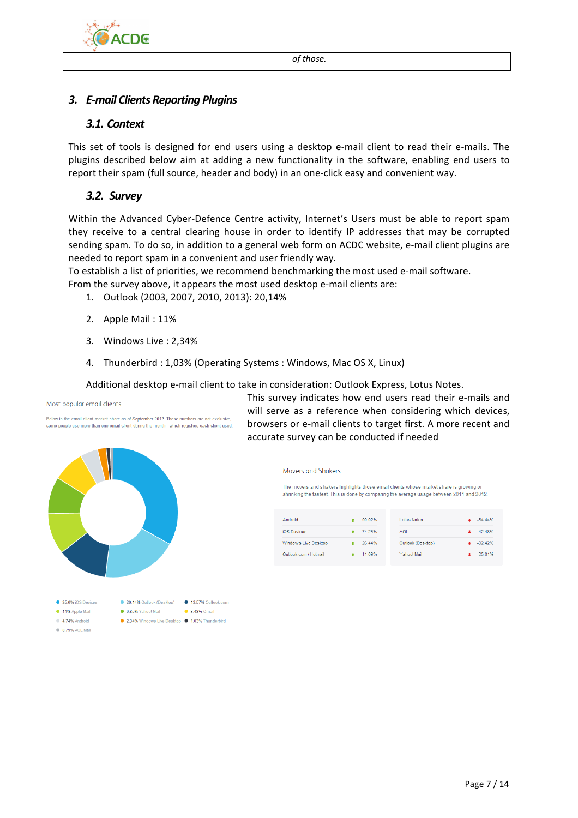



### *3.1. Context*

This set of tools is designed for end users using a desktop e-mail client to read their e-mails. The plugins described below aim at adding a new functionality in the software, enabling end users to report their spam (full source, header and body) in an one-click easy and convenient way.

## *3.2. Survey*

Within the Advanced Cyber-Defence Centre activity, Internet's Users must be able to report spam they receive to a central clearing house in order to identify IP addresses that may be corrupted sending spam. To do so, in addition to a general web form on ACDC website, e-mail client plugins are needed to report spam in a convenient and user friendly way.

To establish a list of priorities, we recommend benchmarking the most used e-mail software. From the survey above, it appears the most used desktop e-mail clients are:

- 1. Outlook (2003, 2007, 2010, 2013): 20,14%
- 2. Apple Mail: 11%
- 3. Windows Live : 2,34%
- 4. Thunderbird : 1,03% (Operating Systems : Windows, Mac OS X, Linux)

Additional desktop e-mail client to take in consideration: Outlook Express, Lotus Notes.

Most popular email clients

Below is the email client market share as of September 2012. These numbers are not exclusive some people use more than one email client during the month - which registers each client used



This survey indicates how end users read their e-mails and will serve as a reference when considering which devices, browsers or e-mail clients to target first. A more recent and accurate survey can be conducted if needed

> Movers and Shakers The movers and shakers highlights those email clients whose market share is growing or shrinking the fastest. This is done by comparing the average usage between 2011 and 2012.

| Android               | 90.02% | <b>Lotus Notes</b> | $-54.44%$ |
|-----------------------|--------|--------------------|-----------|
| <b>iOS</b> Devices    | 74 25% | <b>AOL</b>         | $-4248%$  |
| Windows Live Desktop  | 26.44% | Outlook (Desktop)  | $-32.42%$ |
| Outlook.com / Hotmail | 11.09% | Yahoo! Mail        | $-25.01%$ |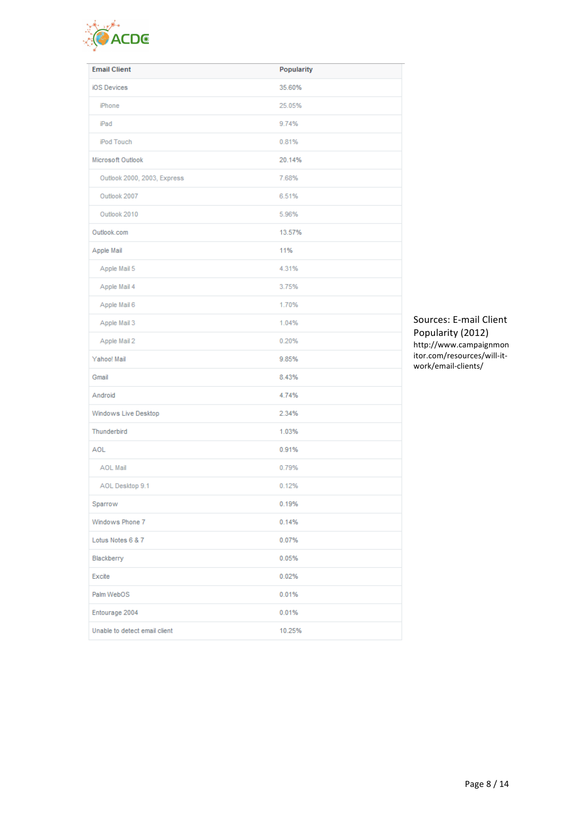

| <b>Email Client</b>           | Popularity |
|-------------------------------|------------|
| iOS Devices                   | 35.60%     |
| iPhone                        | 25.05%     |
| iPad                          | 9.74%      |
| iPod Touch                    | 0.81%      |
| Microsoft Outlook             | 20.14%     |
| Outlook 2000, 2003, Express   | 7.68%      |
| Outlook 2007                  | 6.51%      |
| Outlook 2010                  | 5.96%      |
| Outlook.com                   | 13.57%     |
| Apple Mail                    | 11%        |
| Apple Mail 5                  | 4.31%      |
| Apple Mail 4                  | 3.75%      |
| Apple Mail 6                  | 1.70%      |
| Apple Mail 3                  | 1.04%      |
| Apple Mail 2                  | 0.20%      |
| Yahoo! Mail                   | 9.85%      |
| Gmail                         | 8.43%      |
| Android                       | 4.74%      |
| Windows Live Desktop          | 2.34%      |
| Thunderbird                   | 1.03%      |
| <b>AOL</b>                    | 0.91%      |
| <b>AOL Mail</b>               | 0.79%      |
| AOL Desktop 9.1               | 0.12%      |
| Sparrow                       | 0.19%      |
| Windows Phone 7               | 0.14%      |
| Lotus Notes 6 & 7             | 0.07%      |
| Blackberry                    | 0.05%      |
| Excite                        | 0.02%      |
| Palm WebOS                    | 0.01%      |
| Entourage 2004                | 0.01%      |
| Unable to detect email client | 10.25%     |

Sources: E-mail Client Popularity (2012) http://www.campaignmon itor.com/resources/will-itwork/email-clients/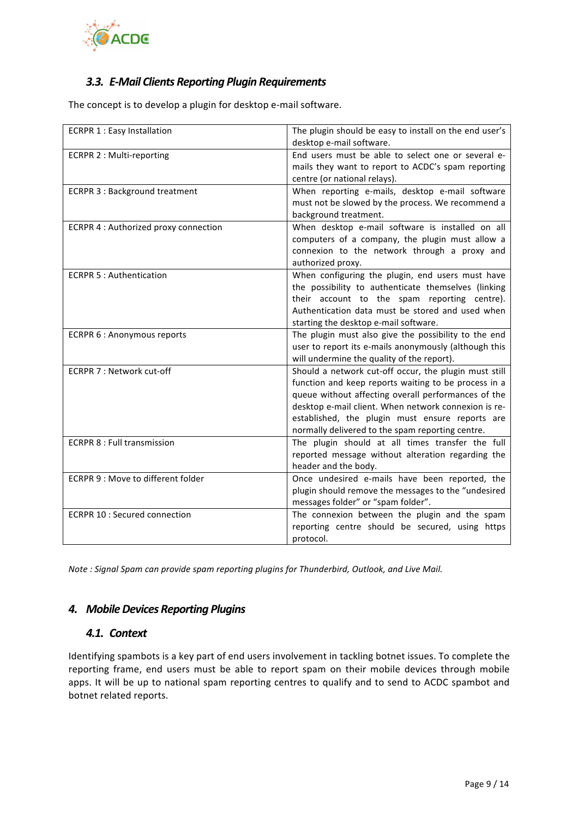

### *3.3. E-Mail Clients Reporting Plugin Requirements*

The concept is to develop a plugin for desktop e-mail software.

| <b>ECRPR 1: Easy Installation</b>     | The plugin should be easy to install on the end user's |
|---------------------------------------|--------------------------------------------------------|
|                                       | desktop e-mail software.                               |
| <b>ECRPR 2: Multi-reporting</b>       | End users must be able to select one or several e-     |
|                                       | mails they want to report to ACDC's spam reporting     |
|                                       | centre (or national relays).                           |
| <b>ECRPR 3: Background treatment</b>  | When reporting e-mails, desktop e-mail software        |
|                                       | must not be slowed by the process. We recommend a      |
|                                       | background treatment.                                  |
| ECRPR 4 : Authorized proxy connection | When desktop e-mail software is installed on all       |
|                                       | computers of a company, the plugin must allow a        |
|                                       | connexion to the network through a proxy and           |
|                                       | authorized proxy.                                      |
| <b>ECRPR 5: Authentication</b>        | When configuring the plugin, end users must have       |
|                                       | the possibility to authenticate themselves (linking    |
|                                       | their account to the spam reporting centre).           |
|                                       | Authentication data must be stored and used when       |
|                                       | starting the desktop e-mail software.                  |
| <b>ECRPR 6: Anonymous reports</b>     | The plugin must also give the possibility to the end   |
|                                       | user to report its e-mails anonymously (although this  |
|                                       | will undermine the quality of the report).             |
| ECRPR 7 : Network cut-off             | Should a network cut-off occur, the plugin must still  |
|                                       | function and keep reports waiting to be process in a   |
|                                       | queue without affecting overall performances of the    |
|                                       | desktop e-mail client. When network connexion is re-   |
|                                       | established, the plugin must ensure reports are        |
|                                       | normally delivered to the spam reporting centre.       |
| <b>ECRPR 8 : Full transmission</b>    | The plugin should at all times transfer the full       |
|                                       | reported message without alteration regarding the      |
|                                       | header and the body.                                   |
| ECRPR 9 : Move to different folder    | Once undesired e-mails have been reported, the         |
|                                       | plugin should remove the messages to the "undesired    |
|                                       | messages folder" or "spam folder".                     |
| <b>ECRPR 10 : Secured connection</b>  | The connexion between the plugin and the spam          |
|                                       | reporting centre should be secured, using https        |
|                                       | protocol.                                              |

*Note* : Signal Spam can provide spam reporting plugins for Thunderbird, Outlook, and Live Mail.

#### *4. Mobile Devices Reporting Plugins*

### *4.1. Context*

Identifying spambots is a key part of end users involvement in tackling botnet issues. To complete the reporting frame, end users must be able to report spam on their mobile devices through mobile apps. It will be up to national spam reporting centres to qualify and to send to ACDC spambot and botnet related reports.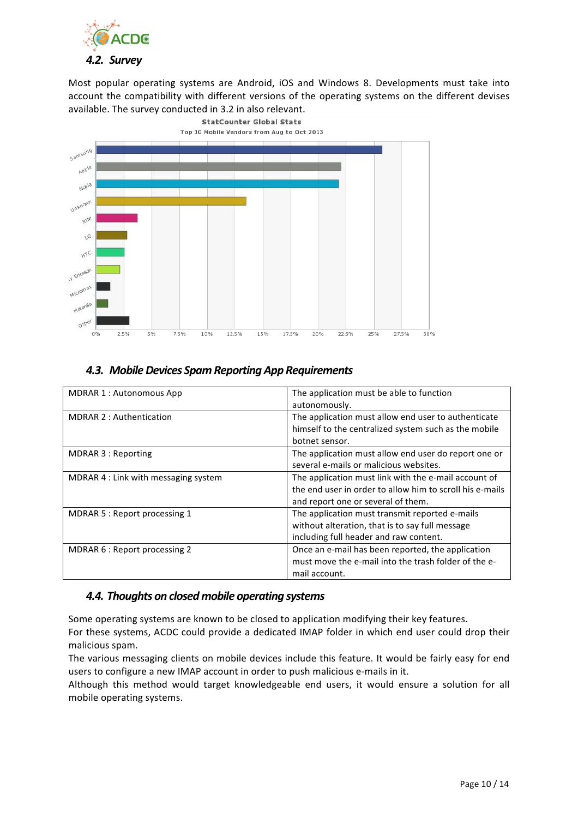

Most popular operating systems are Android, iOS and Windows 8. Developments must take into account the compatibility with different versions of the operating systems on the different devises available. The survey conducted in 3.2 in also relevant.



### *4.3. Mobile Devices Spam Reporting App Requirements*

| <b>MDRAR 1: Autonomous App</b>       | The application must be able to function<br>autonomously.                                                                                              |
|--------------------------------------|--------------------------------------------------------------------------------------------------------------------------------------------------------|
| <b>MDRAR 2: Authentication</b>       | The application must allow end user to authenticate<br>himself to the centralized system such as the mobile<br>botnet sensor.                          |
| MDRAR 3 : Reporting                  | The application must allow end user do report one or<br>several e-mails or malicious websites.                                                         |
| MDRAR 4 : Link with messaging system | The application must link with the e-mail account of<br>the end user in order to allow him to scroll his e-mails<br>and report one or several of them. |
| MDRAR 5 : Report processing 1        | The application must transmit reported e-mails<br>without alteration, that is to say full message<br>including full header and raw content.            |
| MDRAR 6 : Report processing 2        | Once an e-mail has been reported, the application<br>must move the e-mail into the trash folder of the e-<br>mail account.                             |

#### **4.4. Thoughts on closed mobile operating systems**

Some operating systems are known to be closed to application modifying their key features.

For these systems, ACDC could provide a dedicated IMAP folder in which end user could drop their malicious spam.

The various messaging clients on mobile devices include this feature. It would be fairly easy for end users to configure a new IMAP account in order to push malicious e-mails in it.

Although this method would target knowledgeable end users, it would ensure a solution for all mobile operating systems.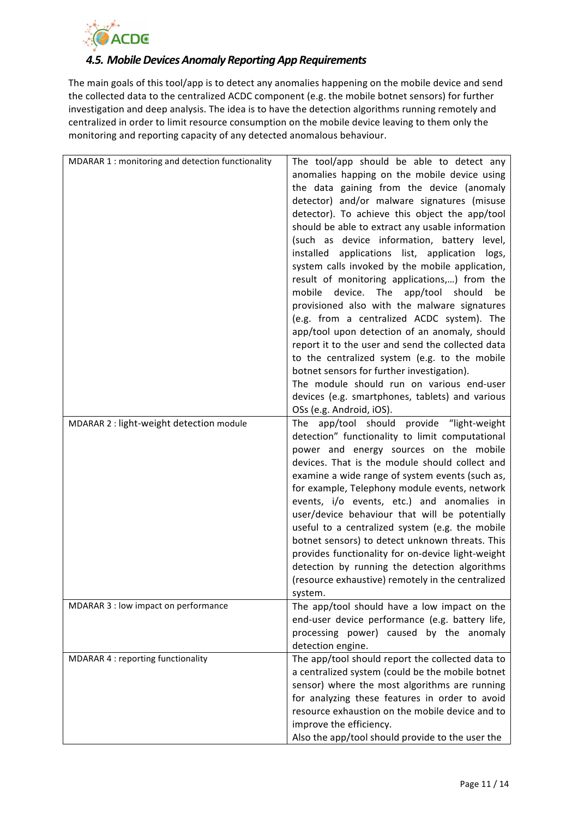

### *4.5. Mobile Devices Anomaly Reporting App Requirements*

The main goals of this tool/app is to detect any anomalies happening on the mobile device and send the collected data to the centralized ACDC component (e.g. the mobile botnet sensors) for further investigation and deep analysis. The idea is to have the detection algorithms running remotely and centralized in order to limit resource consumption on the mobile device leaving to them only the monitoring and reporting capacity of any detected anomalous behaviour.

| MDARAR 1 : monitoring and detection functionality | The tool/app should be able to detect any<br>anomalies happing on the mobile device using<br>the data gaining from the device (anomaly<br>detector) and/or malware signatures (misuse<br>detector). To achieve this object the app/tool<br>should be able to extract any usable information<br>(such as device information, battery level,<br>installed applications list, application logs,<br>system calls invoked by the mobile application,<br>result of monitoring applications,) from the<br>mobile<br>device.<br>The app/tool should<br>be<br>provisioned also with the malware signatures<br>(e.g. from a centralized ACDC system). The<br>app/tool upon detection of an anomaly, should<br>report it to the user and send the collected data<br>to the centralized system (e.g. to the mobile<br>botnet sensors for further investigation).<br>The module should run on various end-user<br>devices (e.g. smartphones, tablets) and various |
|---------------------------------------------------|------------------------------------------------------------------------------------------------------------------------------------------------------------------------------------------------------------------------------------------------------------------------------------------------------------------------------------------------------------------------------------------------------------------------------------------------------------------------------------------------------------------------------------------------------------------------------------------------------------------------------------------------------------------------------------------------------------------------------------------------------------------------------------------------------------------------------------------------------------------------------------------------------------------------------------------------------|
| MDARAR 2 : light-weight detection module          | OSs (e.g. Android, iOS).<br>The app/tool should provide "light-weight<br>detection" functionality to limit computational<br>power and energy sources on the mobile<br>devices. That is the module should collect and<br>examine a wide range of system events (such as,<br>for example, Telephony module events, network<br>events, i/o events, etc.) and anomalies in<br>user/device behaviour that will be potentially<br>useful to a centralized system (e.g. the mobile<br>botnet sensors) to detect unknown threats. This<br>provides functionality for on-device light-weight<br>detection by running the detection algorithms<br>(resource exhaustive) remotely in the centralized<br>system.                                                                                                                                                                                                                                                 |
| MDARAR 3 : low impact on performance              | The app/tool should have a low impact on the<br>end-user device performance (e.g. battery life,<br>processing power) caused by the anomaly<br>detection engine.                                                                                                                                                                                                                                                                                                                                                                                                                                                                                                                                                                                                                                                                                                                                                                                      |
| MDARAR 4 : reporting functionality                | The app/tool should report the collected data to<br>a centralized system (could be the mobile botnet<br>sensor) where the most algorithms are running<br>for analyzing these features in order to avoid<br>resource exhaustion on the mobile device and to<br>improve the efficiency.<br>Also the app/tool should provide to the user the                                                                                                                                                                                                                                                                                                                                                                                                                                                                                                                                                                                                            |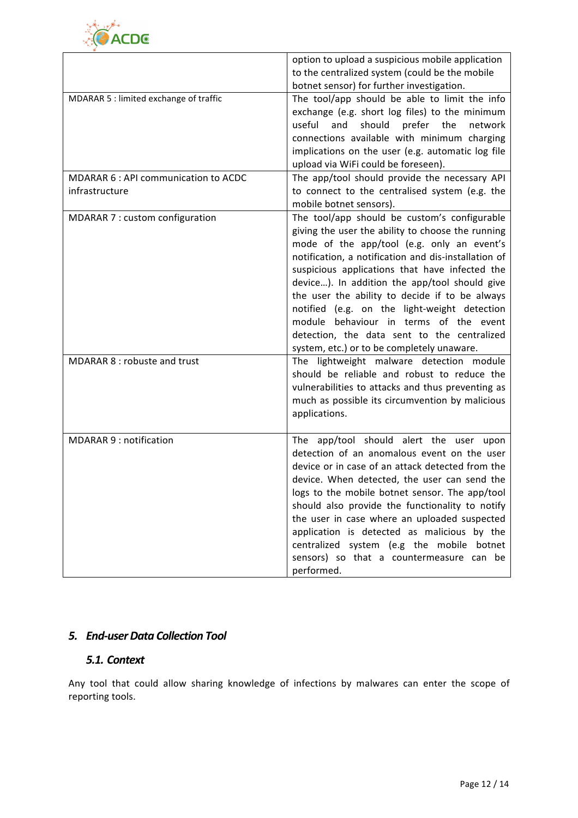

|                                                        | option to upload a suspicious mobile application<br>to the centralized system (could be the mobile<br>botnet sensor) for further investigation.                                                                                                                                                                                                                                                                                                                                                                                                     |
|--------------------------------------------------------|-----------------------------------------------------------------------------------------------------------------------------------------------------------------------------------------------------------------------------------------------------------------------------------------------------------------------------------------------------------------------------------------------------------------------------------------------------------------------------------------------------------------------------------------------------|
| MDARAR 5 : limited exchange of traffic                 | The tool/app should be able to limit the info<br>exchange (e.g. short log files) to the minimum<br>useful<br>should<br>prefer the<br>and<br>network<br>connections available with minimum charging<br>implications on the user (e.g. automatic log file<br>upload via WiFi could be foreseen).                                                                                                                                                                                                                                                      |
| MDARAR 6 : API communication to ACDC<br>infrastructure | The app/tool should provide the necessary API<br>to connect to the centralised system (e.g. the<br>mobile botnet sensors).                                                                                                                                                                                                                                                                                                                                                                                                                          |
| MDARAR 7 : custom configuration                        | The tool/app should be custom's configurable<br>giving the user the ability to choose the running<br>mode of the app/tool (e.g. only an event's<br>notification, a notification and dis-installation of<br>suspicious applications that have infected the<br>device). In addition the app/tool should give<br>the user the ability to decide if to be always<br>notified (e.g. on the light-weight detection<br>module behaviour in terms of the event<br>detection, the data sent to the centralized<br>system, etc.) or to be completely unaware. |
| MDARAR 8 : robuste and trust                           | The lightweight malware detection module<br>should be reliable and robust to reduce the<br>vulnerabilities to attacks and thus preventing as<br>much as possible its circumvention by malicious<br>applications.                                                                                                                                                                                                                                                                                                                                    |
| <b>MDARAR 9: notification</b>                          | The app/tool should alert the user upon<br>detection of an anomalous event on the user<br>device or in case of an attack detected from the<br>device. When detected, the user can send the<br>logs to the mobile botnet sensor. The app/tool<br>should also provide the functionality to notify<br>the user in case where an uploaded suspected<br>application is detected as malicious by the<br>centralized system (e.g the mobile botnet<br>sensors) so that a countermeasure can be<br>performed.                                               |

## *5. End-user Data Collection Tool*

### *5.1. Context*

Any tool that could allow sharing knowledge of infections by malwares can enter the scope of reporting tools.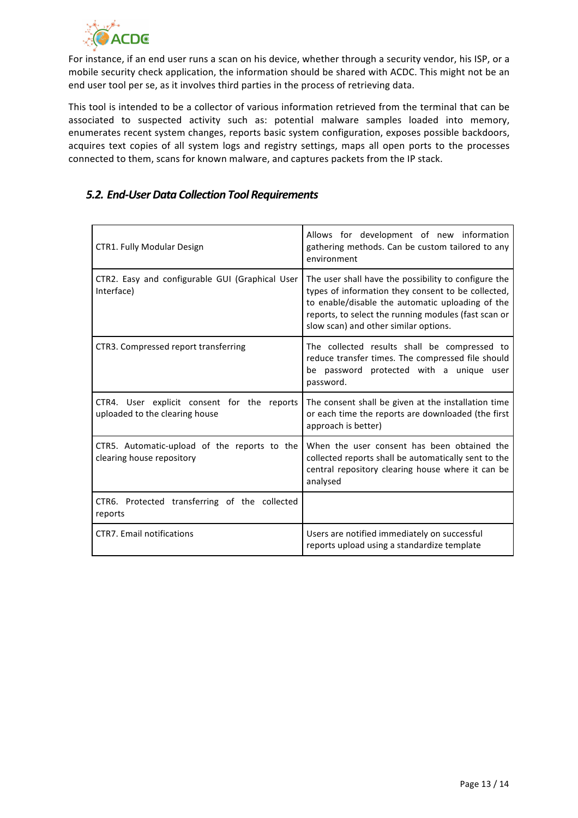

For instance, if an end user runs a scan on his device, whether through a security vendor, his ISP, or a mobile security check application, the information should be shared with ACDC. This might not be an end user tool per se, as it involves third parties in the process of retrieving data.

This tool is intended to be a collector of various information retrieved from the terminal that can be associated to suspected activity such as: potential malware samples loaded into memory, enumerates recent system changes, reports basic system configuration, exposes possible backdoors, acquires text copies of all system logs and registry settings, maps all open ports to the processes connected to them, scans for known malware, and captures packets from the IP stack.

### *5.2. End-User Data Collection Tool Requirements*

| CTR1. Fully Modular Design                                                    | Allows for development of new information<br>gathering methods. Can be custom tailored to any<br>environment                                                                                                                                                    |
|-------------------------------------------------------------------------------|-----------------------------------------------------------------------------------------------------------------------------------------------------------------------------------------------------------------------------------------------------------------|
| CTR2. Easy and configurable GUI (Graphical User<br>Interface)                 | The user shall have the possibility to configure the<br>types of information they consent to be collected,<br>to enable/disable the automatic uploading of the<br>reports, to select the running modules (fast scan or<br>slow scan) and other similar options. |
| CTR3. Compressed report transferring                                          | The collected results shall be compressed to<br>reduce transfer times. The compressed file should<br>be password protected with a unique user<br>password.                                                                                                      |
| CTR4. User explicit consent for the reports<br>uploaded to the clearing house | The consent shall be given at the installation time<br>or each time the reports are downloaded (the first<br>approach is better)                                                                                                                                |
| CTR5. Automatic-upload of the reports to the<br>clearing house repository     | When the user consent has been obtained the<br>collected reports shall be automatically sent to the<br>central repository clearing house where it can be<br>analysed                                                                                            |
| CTR6. Protected transferring of the collected<br>reports                      |                                                                                                                                                                                                                                                                 |
| <b>CTR7.</b> Email notifications                                              | Users are notified immediately on successful<br>reports upload using a standardize template                                                                                                                                                                     |